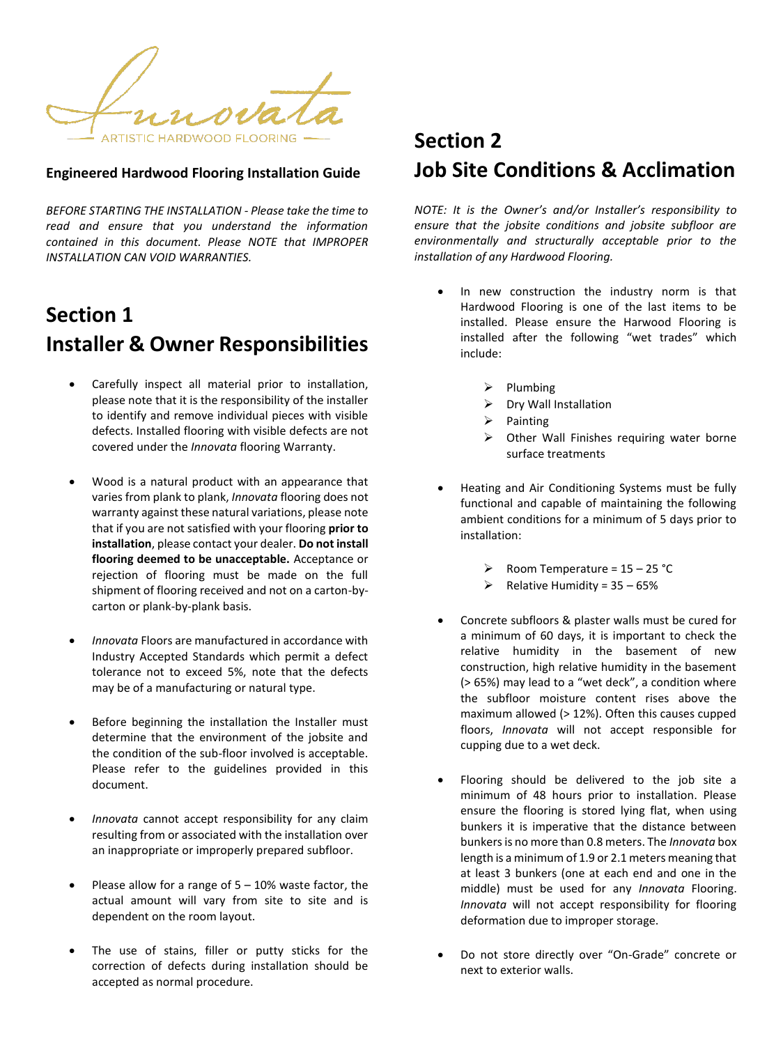ARTISTIC HARDWOOD FLOORING .

## **Engineered Hardwood Flooring Installation Guide**

*BEFORE STARTING THE INSTALLATION - Please take the time to read and ensure that you understand the information contained in this document. Please NOTE that IMPROPER INSTALLATION CAN VOID WARRANTIES.* 

## **Section 1 Installer & Owner Responsibilities**

- Carefully inspect all material prior to installation, please note that it is the responsibility of the installer to identify and remove individual pieces with visible defects. Installed flooring with visible defects are not covered under the *Innovata* flooring Warranty.
- Wood is a natural product with an appearance that varies from plank to plank, *Innovata* flooring does not warranty against these natural variations, please note that if you are not satisfied with your flooring **prior to installation**, please contact your dealer. **Do not install flooring deemed to be unacceptable.** Acceptance or rejection of flooring must be made on the full shipment of flooring received and not on a carton-bycarton or plank-by-plank basis.
- *Innovata* Floors are manufactured in accordance with Industry Accepted Standards which permit a defect tolerance not to exceed 5%, note that the defects may be of a manufacturing or natural type.
- Before beginning the installation the Installer must determine that the environment of the jobsite and the condition of the sub-floor involved is acceptable. Please refer to the guidelines provided in this document.
- *Innovata* cannot accept responsibility for any claim resulting from or associated with the installation over an inappropriate or improperly prepared subfloor.
- Please allow for a range of  $5 10\%$  waste factor, the actual amount will vary from site to site and is dependent on the room layout.
- The use of stains, filler or putty sticks for the correction of defects during installation should be accepted as normal procedure.

## **Section 2 Job Site Conditions & Acclimation**

*NOTE: It is the Owner's and/or Installer's responsibility to ensure that the jobsite conditions and jobsite subfloor are environmentally and structurally acceptable prior to the installation of any Hardwood Flooring.* 

- In new construction the industry norm is that Hardwood Flooring is one of the last items to be installed. Please ensure the Harwood Flooring is installed after the following "wet trades" which include:
	- $\triangleright$  Plumbing
	- $\triangleright$  Dry Wall Installation
	- Painting
	- $\triangleright$  Other Wall Finishes requiring water borne surface treatments
- Heating and Air Conditioning Systems must be fully functional and capable of maintaining the following ambient conditions for a minimum of 5 days prior to installation:
	- $\triangleright$  Room Temperature = 15 25 °C
	- $\triangleright$  Relative Humidity = 35 65%
- Concrete subfloors & plaster walls must be cured for a minimum of 60 days, it is important to check the relative humidity in the basement of new construction, high relative humidity in the basement (> 65%) may lead to a "wet deck", a condition where the subfloor moisture content rises above the maximum allowed (> 12%). Often this causes cupped floors, *Innovata* will not accept responsible for cupping due to a wet deck.
- Flooring should be delivered to the job site a minimum of 48 hours prior to installation. Please ensure the flooring is stored lying flat, when using bunkers it is imperative that the distance between bunkers is no more than 0.8 meters. The *Innovata* box length is a minimum of 1.9 or 2.1 meters meaning that at least 3 bunkers (one at each end and one in the middle) must be used for any *Innovata* Flooring. *Innovata* will not accept responsibility for flooring deformation due to improper storage.
- Do not store directly over "On-Grade" concrete or next to exterior walls.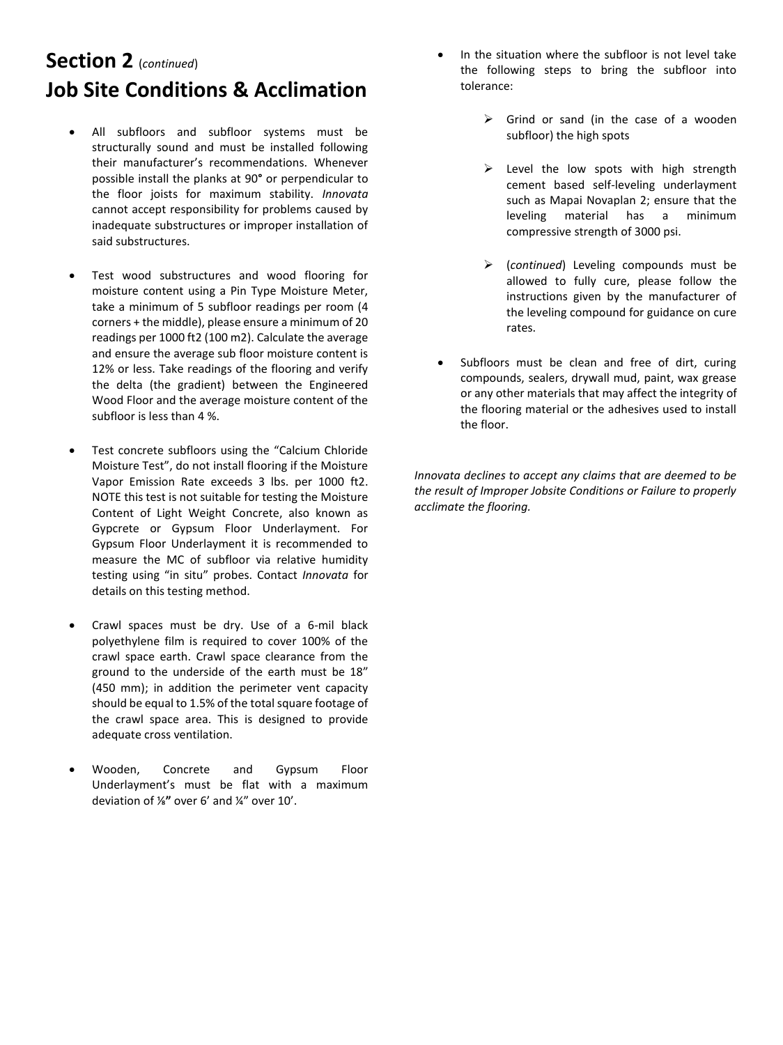# **Section 2** (*continued*) **Job Site Conditions & Acclimation**

- All subfloors and subfloor systems must be structurally sound and must be installed following their manufacturer's recommendations. Whenever possible install the planks at 90**°** or perpendicular to the floor joists for maximum stability. *Innovata* cannot accept responsibility for problems caused by inadequate substructures or improper installation of said substructures.
- Test wood substructures and wood flooring for moisture content using a Pin Type Moisture Meter, take a minimum of 5 subfloor readings per room (4 corners + the middle), please ensure a minimum of 20 readings per 1000 ft2 (100 m2). Calculate the average and ensure the average sub floor moisture content is 12% or less. Take readings of the flooring and verify the delta (the gradient) between the Engineered Wood Floor and the average moisture content of the subfloor is less than 4 %.
- Test concrete subfloors using the "Calcium Chloride Moisture Test", do not install flooring if the Moisture Vapor Emission Rate exceeds 3 lbs. per 1000 ft2. NOTE this test is not suitable for testing the Moisture Content of Light Weight Concrete, also known as Gypcrete or Gypsum Floor Underlayment. For Gypsum Floor Underlayment it is recommended to measure the MC of subfloor via relative humidity testing using "in situ" probes. Contact *Innovata* for details on this testing method.
- Crawl spaces must be dry. Use of a 6-mil black polyethylene film is required to cover 100% of the crawl space earth. Crawl space clearance from the ground to the underside of the earth must be 18" (450 mm); in addition the perimeter vent capacity should be equal to 1.5% of the total square footage of the crawl space area. This is designed to provide adequate cross ventilation.
- Wooden, Concrete and Gypsum Floor Underlayment's must be flat with a maximum deviation of ⅛**"** over 6' and ¼" over 10'.
- In the situation where the subfloor is not level take the following steps to bring the subfloor into tolerance:
	- $\triangleright$  Grind or sand (in the case of a wooden subfloor) the high spots
	- $\triangleright$  Level the low spots with high strength cement based self-leveling underlayment such as Mapai Novaplan 2; ensure that the leveling material has a minimum compressive strength of 3000 psi.
	- (*continued*) Leveling compounds must be allowed to fully cure, please follow the instructions given by the manufacturer of the leveling compound for guidance on cure rates.
- Subfloors must be clean and free of dirt, curing compounds, sealers, drywall mud, paint, wax grease or any other materials that may affect the integrity of the flooring material or the adhesives used to install the floor.

*Innovata declines to accept any claims that are deemed to be the result of Improper Jobsite Conditions or Failure to properly acclimate the flooring.*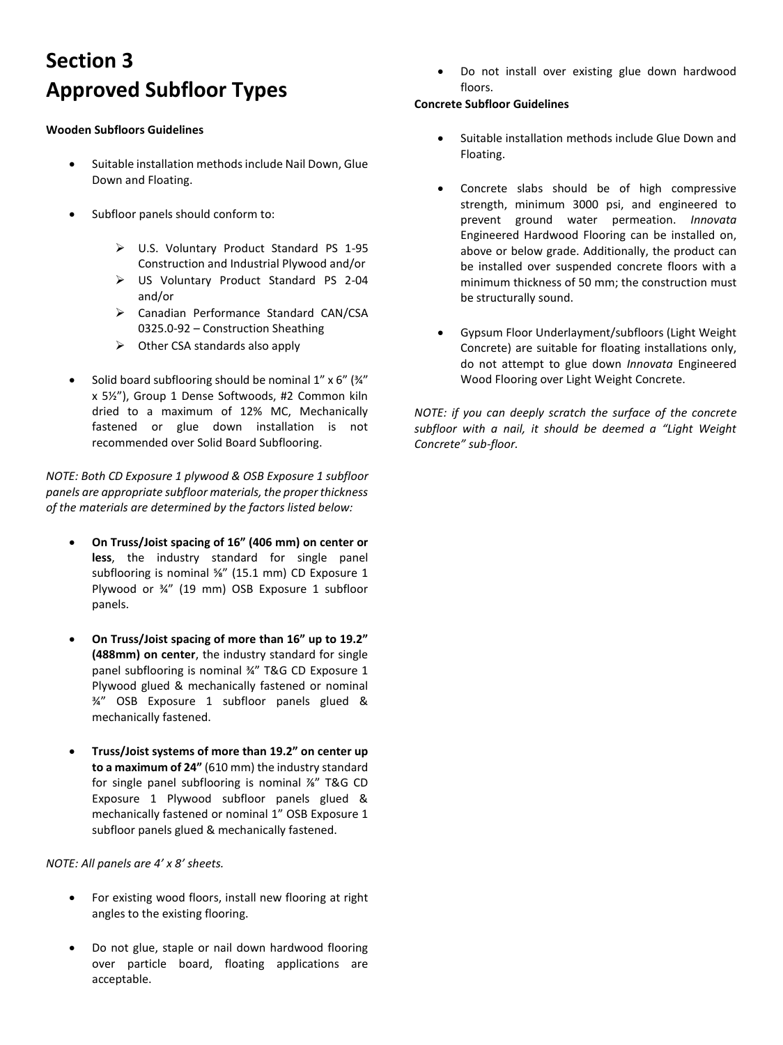# **Section 3 Approved Subfloor Types**

#### **Wooden Subfloors Guidelines**

- Suitable installation methods include Nail Down, Glue Down and Floating.
- Subfloor panels should conform to:
	- U.S. Voluntary Product Standard PS 1-95 Construction and Industrial Plywood and/or
	- US Voluntary Product Standard PS 2-04 and/or
	- Canadian Performance Standard CAN/CSA 0325.0-92 – Construction Sheathing
	- $\triangleright$  Other CSA standards also apply
- Solid board subflooring should be nominal 1" x 6" (¾" x 5½"), Group 1 Dense Softwoods, #2 Common kiln dried to a maximum of 12% MC, Mechanically fastened or glue down installation is not recommended over Solid Board Subflooring.

*NOTE: Both CD Exposure 1 plywood & OSB Exposure 1 subfloor panels are appropriate subfloor materials, the proper thickness of the materials are determined by the factors listed below:*

- **On Truss/Joist spacing of 16" (406 mm) on center or less**, the industry standard for single panel subflooring is nominal %" (15.1 mm) CD Exposure 1 Plywood or ¾" (19 mm) OSB Exposure 1 subfloor panels.
- **On Truss/Joist spacing of more than 16" up to 19.2" (488mm) on center**, the industry standard for single panel subflooring is nominal ¾" T&G CD Exposure 1 Plywood glued & mechanically fastened or nominal ¾" OSB Exposure 1 subfloor panels glued & mechanically fastened.
- **Truss/Joist systems of more than 19.2" on center up to a maximum of 24"** (610 mm) the industry standard for single panel subflooring is nominal ⅞" T&G CD Exposure 1 Plywood subfloor panels glued & mechanically fastened or nominal 1" OSB Exposure 1 subfloor panels glued & mechanically fastened.

*NOTE: All panels are 4' x 8' sheets.* 

- For existing wood floors, install new flooring at right angles to the existing flooring.
- Do not glue, staple or nail down hardwood flooring over particle board, floating applications are acceptable.

 Do not install over existing glue down hardwood floors.

## **Concrete Subfloor Guidelines**

- Suitable installation methods include Glue Down and Floating.
- Concrete slabs should be of high compressive strength, minimum 3000 psi, and engineered to prevent ground water permeation. *Innovata* Engineered Hardwood Flooring can be installed on, above or below grade. Additionally, the product can be installed over suspended concrete floors with a minimum thickness of 50 mm; the construction must be structurally sound.
- Gypsum Floor Underlayment/subfloors (Light Weight Concrete) are suitable for floating installations only, do not attempt to glue down *Innovata* Engineered Wood Flooring over Light Weight Concrete.

*NOTE: if you can deeply scratch the surface of the concrete subfloor with a nail, it should be deemed a "Light Weight Concrete" sub-floor.*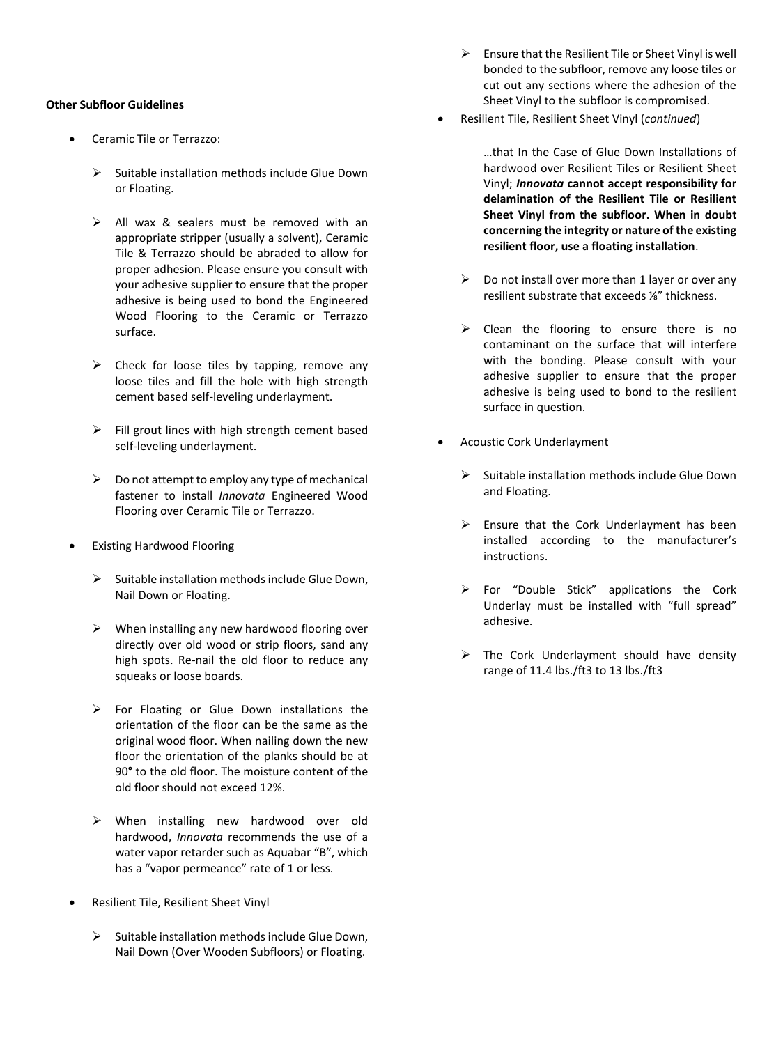#### **Other Subfloor Guidelines**

- Ceramic Tile or Terrazzo:
	- $\triangleright$  Suitable installation methods include Glue Down or Floating.
	- $\triangleright$  All wax & sealers must be removed with an appropriate stripper (usually a solvent), Ceramic Tile & Terrazzo should be abraded to allow for proper adhesion. Please ensure you consult with your adhesive supplier to ensure that the proper adhesive is being used to bond the Engineered Wood Flooring to the Ceramic or Terrazzo surface.
	- $\triangleright$  Check for loose tiles by tapping, remove any loose tiles and fill the hole with high strength cement based self-leveling underlayment.
	- $\triangleright$  Fill grout lines with high strength cement based self-leveling underlayment.
	- $\triangleright$  Do not attempt to employ any type of mechanical fastener to install *Innovata* Engineered Wood Flooring over Ceramic Tile or Terrazzo.
- Existing Hardwood Flooring
	- $\triangleright$  Suitable installation methods include Glue Down, Nail Down or Floating.
	- $\triangleright$  When installing any new hardwood flooring over directly over old wood or strip floors, sand any high spots. Re-nail the old floor to reduce any squeaks or loose boards.
	- $\triangleright$  For Floating or Glue Down installations the orientation of the floor can be the same as the original wood floor. When nailing down the new floor the orientation of the planks should be at 90**°** to the old floor. The moisture content of the old floor should not exceed 12%.
	- $\triangleright$  When installing new hardwood over old hardwood, *Innovata* recommends the use of a water vapor retarder such as Aquabar "B", which has a "vapor permeance" rate of 1 or less.
- Resilient Tile, Resilient Sheet Vinyl
	- $\triangleright$  Suitable installation methods include Glue Down, Nail Down (Over Wooden Subfloors) or Floating.
- $\triangleright$  Ensure that the Resilient Tile or Sheet Vinyl is well bonded to the subfloor, remove any loose tiles or cut out any sections where the adhesion of the Sheet Vinyl to the subfloor is compromised.
- Resilient Tile, Resilient Sheet Vinyl (*continued*)

…that In the Case of Glue Down Installations of hardwood over Resilient Tiles or Resilient Sheet Vinyl; *Innovata* **cannot accept responsibility for delamination of the Resilient Tile or Resilient Sheet Vinyl from the subfloor. When in doubt concerning the integrity or nature of the existing resilient floor, use a floating installation**.

- $\triangleright$  Do not install over more than 1 layer or over any resilient substrate that exceeds ⅛" thickness.
- $\triangleright$  Clean the flooring to ensure there is no contaminant on the surface that will interfere with the bonding. Please consult with your adhesive supplier to ensure that the proper adhesive is being used to bond to the resilient surface in question.
- Acoustic Cork Underlayment
	- $\triangleright$  Suitable installation methods include Glue Down and Floating.
	- $\triangleright$  Ensure that the Cork Underlayment has been installed according to the manufacturer's instructions.
	- For "Double Stick" applications the Cork Underlay must be installed with "full spread" adhesive.
	- $\triangleright$  The Cork Underlayment should have density range of 11.4 lbs./ft3 to 13 lbs./ft3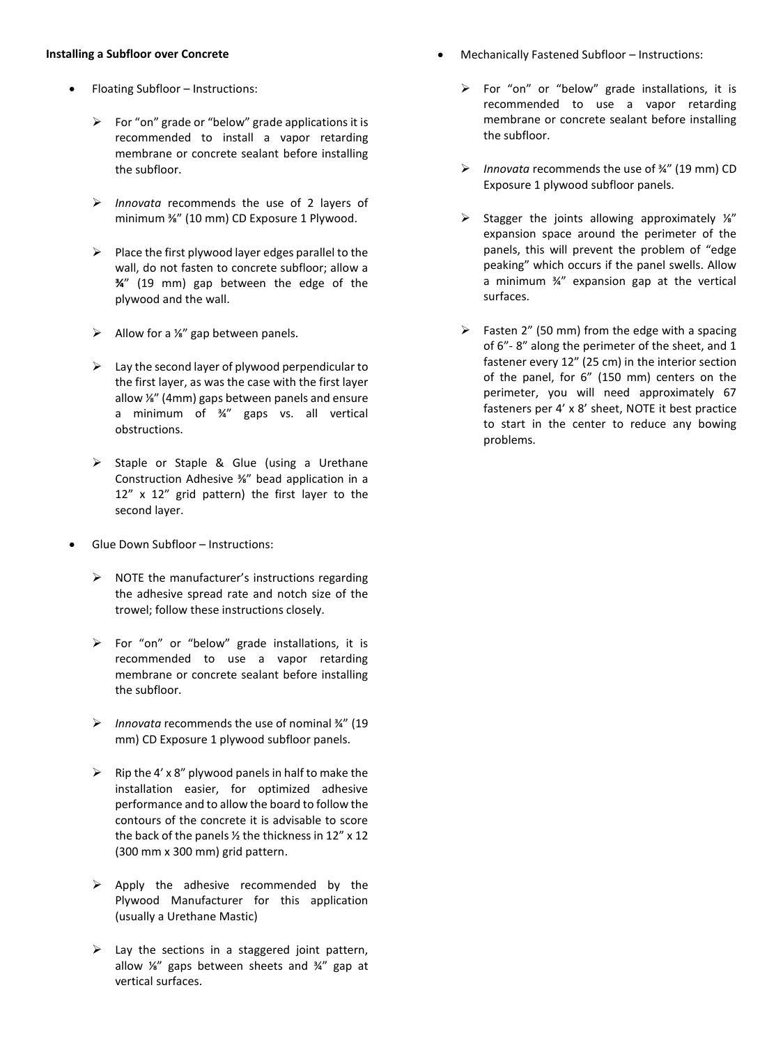#### **Installing a Subfloor over Concrete**

- Floating Subfloor Instructions:
	- $\triangleright$  For "on" grade or "below" grade applications it is recommended to install a vapor retarding membrane or concrete sealant before installing the subfloor.
	- *Innovata* recommends the use of 2 layers of minimum ⅜" (10 mm) CD Exposure 1 Plywood.
	- $\triangleright$  Place the first plywood layer edges parallel to the wall, do not fasten to concrete subfloor; allow a **¾**" (19 mm) gap between the edge of the plywood and the wall.
	- $\triangleright$  Allow for a <sup>1/4</sup> gap between panels.
	- $\triangleright$  Lay the second layer of plywood perpendicular to the first layer, as was the case with the first layer allow ⅛" (4mm) gaps between panels and ensure a minimum of ¾" gaps vs. all vertical obstructions.
	- $\triangleright$  Staple or Staple & Glue (using a Urethane Construction Adhesive ⅜" bead application in a 12" x 12" grid pattern) the first layer to the second layer.
- Glue Down Subfloor Instructions:
	- $\triangleright$  NOTE the manufacturer's instructions regarding the adhesive spread rate and notch size of the trowel; follow these instructions closely.
	- For "on" or "below" grade installations, it is recommended to use a vapor retarding membrane or concrete sealant before installing the subfloor.
	- *Innovata* recommends the use of nominal ¾" (19 mm) CD Exposure 1 plywood subfloor panels.
	- $\triangleright$  Rip the 4' x 8" plywood panels in half to make the installation easier, for optimized adhesive performance and to allow the board to follow the contours of the concrete it is advisable to score the back of the panels  $\frac{1}{2}$  the thickness in 12" x 12 (300 mm x 300 mm) grid pattern.
	- $\triangleright$  Apply the adhesive recommended by the Plywood Manufacturer for this application (usually a Urethane Mastic)
	- $\triangleright$  Lay the sections in a staggered joint pattern, allow ⅛" gaps between sheets and ¾" gap at vertical surfaces.
- Mechanically Fastened Subfloor Instructions:
	- $\triangleright$  For "on" or "below" grade installations, it is recommended to use a vapor retarding membrane or concrete sealant before installing the subfloor.
	- *Innovata* recommends the use of ¾" (19 mm) CD Exposure 1 plywood subfloor panels.
	- $\triangleright$  Stagger the joints allowing approximately ¼" expansion space around the perimeter of the panels, this will prevent the problem of "edge peaking" which occurs if the panel swells. Allow a minimum ¾" expansion gap at the vertical surfaces.
	- $\triangleright$  Fasten 2" (50 mm) from the edge with a spacing of 6"- 8" along the perimeter of the sheet, and 1 fastener every 12" (25 cm) in the interior section of the panel, for 6" (150 mm) centers on the perimeter, you will need approximately 67 fasteners per 4' x 8' sheet, NOTE it best practice to start in the center to reduce any bowing problems.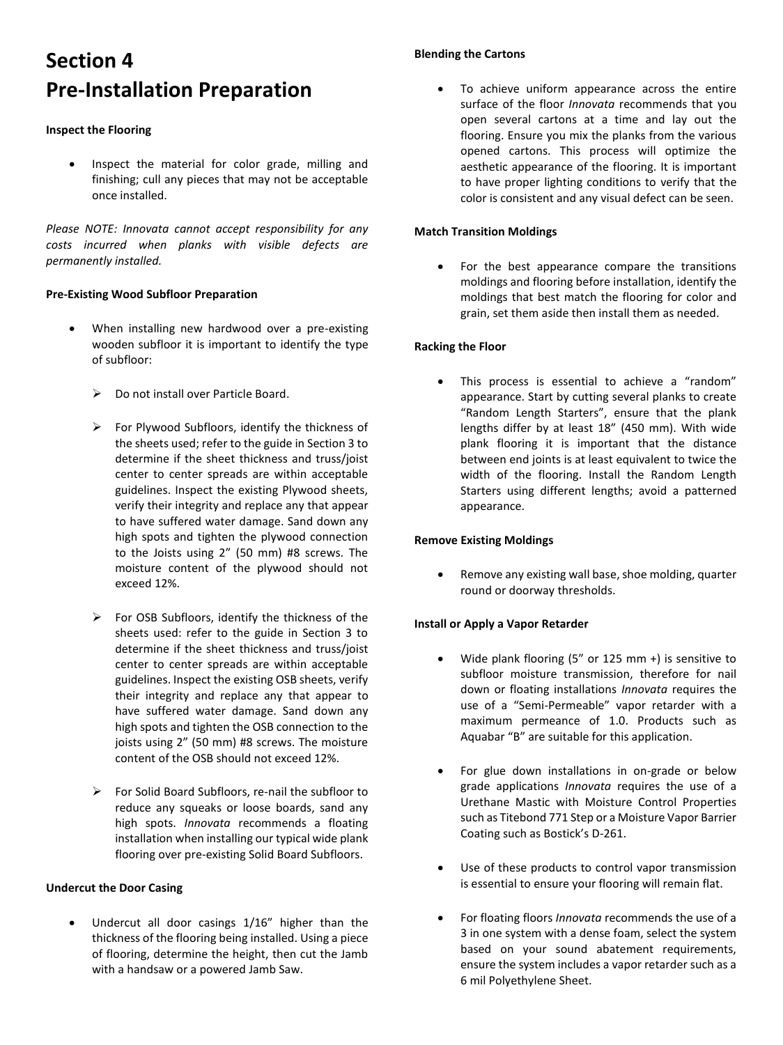# **Section 4 Pre-Installation Preparation**

#### **Inspect the Flooring**

 Inspect the material for color grade, milling and finishing; cull any pieces that may not be acceptable once installed.

*Please NOTE: Innovata cannot accept responsibility for any costs incurred when planks with visible defects are permanently installed.* 

### **Pre-Existing Wood Subfloor Preparation**

- When installing new hardwood over a pre-existing wooden subfloor it is important to identify the type of subfloor:
	- $\triangleright$  Do not install over Particle Board.
	- $\triangleright$  For Plywood Subfloors, identify the thickness of the sheets used; refer to the guide in Section 3 to determine if the sheet thickness and truss/joist center to center spreads are within acceptable guidelines. Inspect the existing Plywood sheets, verify their integrity and replace any that appear to have suffered water damage. Sand down any high spots and tighten the plywood connection to the Joists using 2" (50 mm) #8 screws. The moisture content of the plywood should not exceed 12%.
	- $\triangleright$  For OSB Subfloors, identify the thickness of the sheets used: refer to the guide in Section 3 to determine if the sheet thickness and truss/joist center to center spreads are within acceptable guidelines. Inspect the existing OSB sheets, verify their integrity and replace any that appear to have suffered water damage. Sand down any high spots and tighten the OSB connection to the joists using 2" (50 mm) #8 screws. The moisture content of the OSB should not exceed 12%.
	- $\triangleright$  For Solid Board Subfloors, re-nail the subfloor to reduce any squeaks or loose boards, sand any high spots. *Innovata* recommends a floating installation when installing our typical wide plank flooring over pre-existing Solid Board Subfloors.

### **Undercut the Door Casing**

 Undercut all door casings 1/16" higher than the thickness of the flooring being installed. Using a piece of flooring, determine the height, then cut the Jamb with a handsaw or a powered Jamb Saw.

## **Blending the Cartons**

 To achieve uniform appearance across the entire surface of the floor *Innovata* recommends that you open several cartons at a time and lay out the flooring. Ensure you mix the planks from the various opened cartons. This process will optimize the aesthetic appearance of the flooring. It is important to have proper lighting conditions to verify that the color is consistent and any visual defect can be seen.

#### **Match Transition Moldings**

• For the best appearance compare the transitions moldings and flooring before installation, identify the moldings that best match the flooring for color and grain, set them aside then install them as needed.

### **Racking the Floor**

 This process is essential to achieve a "random" appearance. Start by cutting several planks to create "Random Length Starters", ensure that the plank lengths differ by at least 18" (450 mm). With wide plank flooring it is important that the distance between end joints is at least equivalent to twice the width of the flooring. Install the Random Length Starters using different lengths; avoid a patterned appearance.

### **Remove Existing Moldings**

 Remove any existing wall base, shoe molding, quarter round or doorway thresholds.

### **Install or Apply a Vapor Retarder**

- Wide plank flooring (5" or 125 mm +) is sensitive to subfloor moisture transmission, therefore for nail down or floating installations *Innovata* requires the use of a "Semi-Permeable" vapor retarder with a maximum permeance of 1.0. Products such as Aquabar "B" are suitable for this application.
- For glue down installations in on-grade or below grade applications *Innovata* requires the use of a Urethane Mastic with Moisture Control Properties such as Titebond 771 Step or a Moisture Vapor Barrier Coating such as Bostick's D-261.
- Use of these products to control vapor transmission is essential to ensure your flooring will remain flat.
- For floating floors *Innovata* recommends the use of a 3 in one system with a dense foam, select the system based on your sound abatement requirements, ensure the system includes a vapor retarder such as a 6 mil Polyethylene Sheet.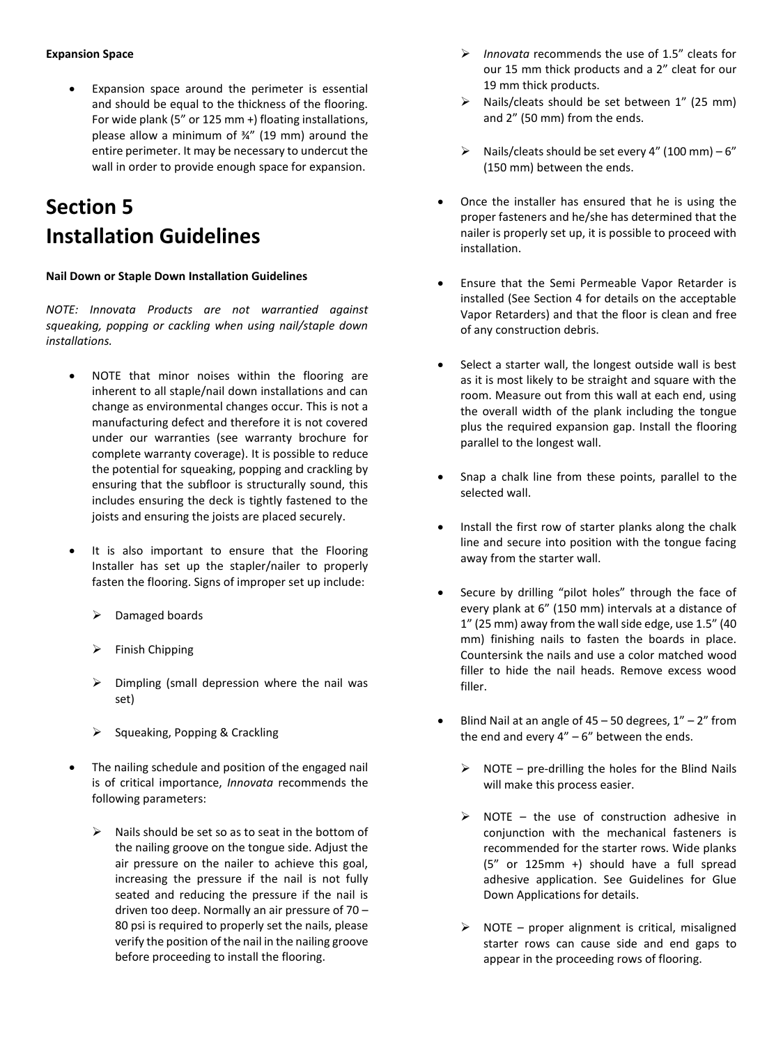Expansion space around the perimeter is essential and should be equal to the thickness of the flooring. For wide plank (5" or 125 mm +) floating installations, please allow a minimum of ¾" (19 mm) around the entire perimeter. It may be necessary to undercut the wall in order to provide enough space for expansion.

## **Section 5 Installation Guidelines**

### **Nail Down or Staple Down Installation Guidelines**

*NOTE: Innovata Products are not warrantied against squeaking, popping or cackling when using nail/staple down installations.* 

- NOTE that minor noises within the flooring are inherent to all staple/nail down installations and can change as environmental changes occur. This is not a manufacturing defect and therefore it is not covered under our warranties (see warranty brochure for complete warranty coverage). It is possible to reduce the potential for squeaking, popping and crackling by ensuring that the subfloor is structurally sound, this includes ensuring the deck is tightly fastened to the joists and ensuring the joists are placed securely.
- It is also important to ensure that the Flooring Installer has set up the stapler/nailer to properly fasten the flooring. Signs of improper set up include:
	- Damaged boards
	- Finish Chipping
	- $\triangleright$  Dimpling (small depression where the nail was set)
	- $\triangleright$  Squeaking, Popping & Crackling
- The nailing schedule and position of the engaged nail is of critical importance, *Innovata* recommends the following parameters:
	- $\triangleright$  Nails should be set so as to seat in the bottom of the nailing groove on the tongue side. Adjust the air pressure on the nailer to achieve this goal, increasing the pressure if the nail is not fully seated and reducing the pressure if the nail is driven too deep. Normally an air pressure of 70 – 80 psi is required to properly set the nails, please verify the position of the nail in the nailing groove before proceeding to install the flooring.
- *Innovata* recommends the use of 1.5" cleats for our 15 mm thick products and a 2" cleat for our 19 mm thick products.
- $\triangleright$  Nails/cleats should be set between 1" (25 mm) and 2" (50 mm) from the ends.
- $\triangleright$  Nails/cleats should be set every 4" (100 mm) 6" (150 mm) between the ends.
- Once the installer has ensured that he is using the proper fasteners and he/she has determined that the nailer is properly set up, it is possible to proceed with installation.
- Ensure that the Semi Permeable Vapor Retarder is installed (See Section 4 for details on the acceptable Vapor Retarders) and that the floor is clean and free of any construction debris.
- Select a starter wall, the longest outside wall is best as it is most likely to be straight and square with the room. Measure out from this wall at each end, using the overall width of the plank including the tongue plus the required expansion gap. Install the flooring parallel to the longest wall.
- Snap a chalk line from these points, parallel to the selected wall.
- Install the first row of starter planks along the chalk line and secure into position with the tongue facing away from the starter wall.
- Secure by drilling "pilot holes" through the face of every plank at 6" (150 mm) intervals at a distance of 1" (25 mm) away from the wall side edge, use 1.5" (40 mm) finishing nails to fasten the boards in place. Countersink the nails and use a color matched wood filler to hide the nail heads. Remove excess wood filler.
- Blind Nail at an angle of  $45 50$  degrees,  $1'' 2''$  from the end and every  $4'' - 6''$  between the ends.
	- $\triangleright$  NOTE pre-drilling the holes for the Blind Nails will make this process easier.
	- $\triangleright$  NOTE the use of construction adhesive in conjunction with the mechanical fasteners is recommended for the starter rows. Wide planks (5" or 125mm +) should have a full spread adhesive application. See Guidelines for Glue Down Applications for details.
	- $\triangleright$  NOTE proper alignment is critical, misaligned starter rows can cause side and end gaps to appear in the proceeding rows of flooring.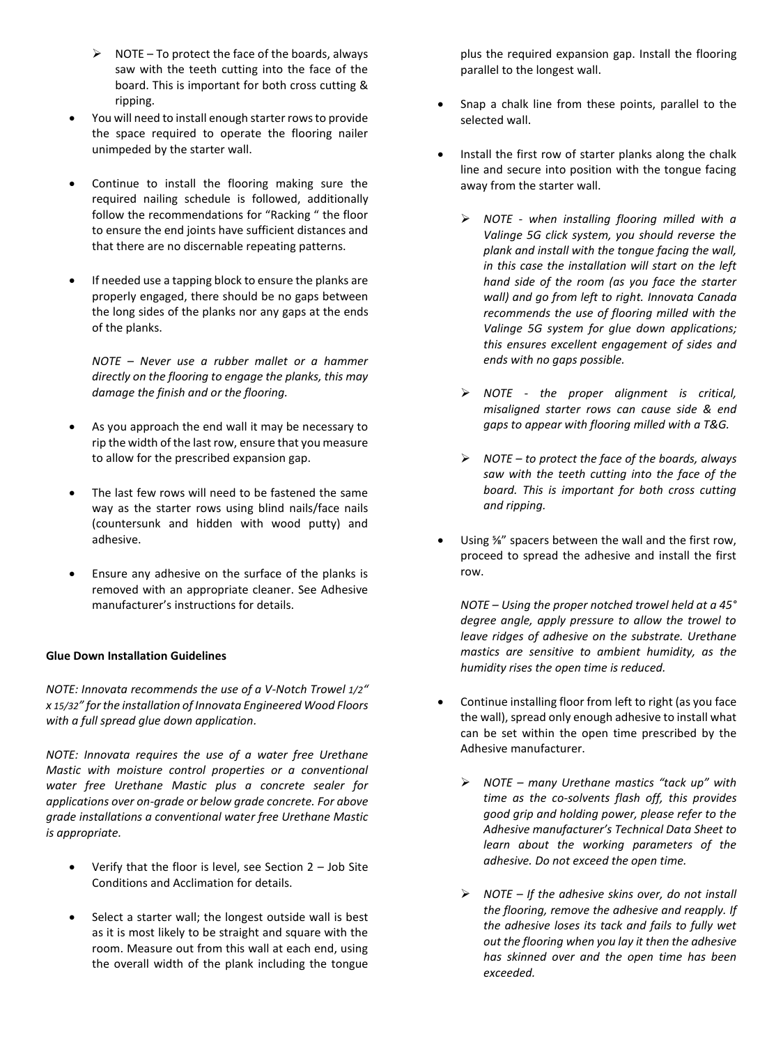- $\triangleright$  NOTE To protect the face of the boards, always saw with the teeth cutting into the face of the board. This is important for both cross cutting & ripping.
- You will need to install enough starter rows to provide the space required to operate the flooring nailer unimpeded by the starter wall.
- Continue to install the flooring making sure the required nailing schedule is followed, additionally follow the recommendations for "Racking " the floor to ensure the end joints have sufficient distances and that there are no discernable repeating patterns.
- If needed use a tapping block to ensure the planks are properly engaged, there should be no gaps between the long sides of the planks nor any gaps at the ends of the planks.

*NOTE – Never use a rubber mallet or a hammer directly on the flooring to engage the planks, this may damage the finish and or the flooring.* 

- As you approach the end wall it may be necessary to rip the width of the last row, ensure that you measure to allow for the prescribed expansion gap.
- The last few rows will need to be fastened the same way as the starter rows using blind nails/face nails (countersunk and hidden with wood putty) and adhesive.
- Ensure any adhesive on the surface of the planks is removed with an appropriate cleaner. See Adhesive manufacturer's instructions for details.

#### **Glue Down Installation Guidelines**

*NOTE: Innovata recommends the use of a V-Notch Trowel 1/2" x 15/32" for the installation of Innovata Engineered Wood Floors with a full spread glue down application.*

*NOTE: Innovata requires the use of a water free Urethane Mastic with moisture control properties or a conventional water free Urethane Mastic plus a concrete sealer for applications over on-grade or below grade concrete. For above grade installations a conventional water free Urethane Mastic is appropriate.*

- Verify that the floor is level, see Section 2 Job Site Conditions and Acclimation for details.
- Select a starter wall; the longest outside wall is best as it is most likely to be straight and square with the room. Measure out from this wall at each end, using the overall width of the plank including the tongue

plus the required expansion gap. Install the flooring parallel to the longest wall.

- Snap a chalk line from these points, parallel to the selected wall.
- Install the first row of starter planks along the chalk line and secure into position with the tongue facing away from the starter wall.
	- *NOTE - when installing flooring milled with a Valinge 5G click system, you should reverse the plank and install with the tongue facing the wall, in this case the installation will start on the left hand side of the room (as you face the starter wall) and go from left to right. Innovata Canada recommends the use of flooring milled with the Valinge 5G system for glue down applications; this ensures excellent engagement of sides and ends with no gaps possible.*
	- *NOTE - the proper alignment is critical, misaligned starter rows can cause side & end gaps to appear with flooring milled with a T&G.*
	- *NOTE – to protect the face of the boards, always saw with the teeth cutting into the face of the board. This is important for both cross cutting and ripping.*
- Using ⅝" spacers between the wall and the first row, proceed to spread the adhesive and install the first row.

*NOTE – Using the proper notched trowel held at a 45° degree angle, apply pressure to allow the trowel to leave ridges of adhesive on the substrate. Urethane mastics are sensitive to ambient humidity, as the humidity rises the open time is reduced.* 

- Continue installing floor from left to right (as you face the wall), spread only enough adhesive to install what can be set within the open time prescribed by the Adhesive manufacturer.
	- *NOTE – many Urethane mastics "tack up" with time as the co-solvents flash off, this provides good grip and holding power, please refer to the Adhesive manufacturer's Technical Data Sheet to learn about the working parameters of the adhesive. Do not exceed the open time.*
	- *NOTE – If the adhesive skins over, do not install the flooring, remove the adhesive and reapply. If the adhesive loses its tack and fails to fully wet out the flooring when you lay it then the adhesive has skinned over and the open time has been exceeded.*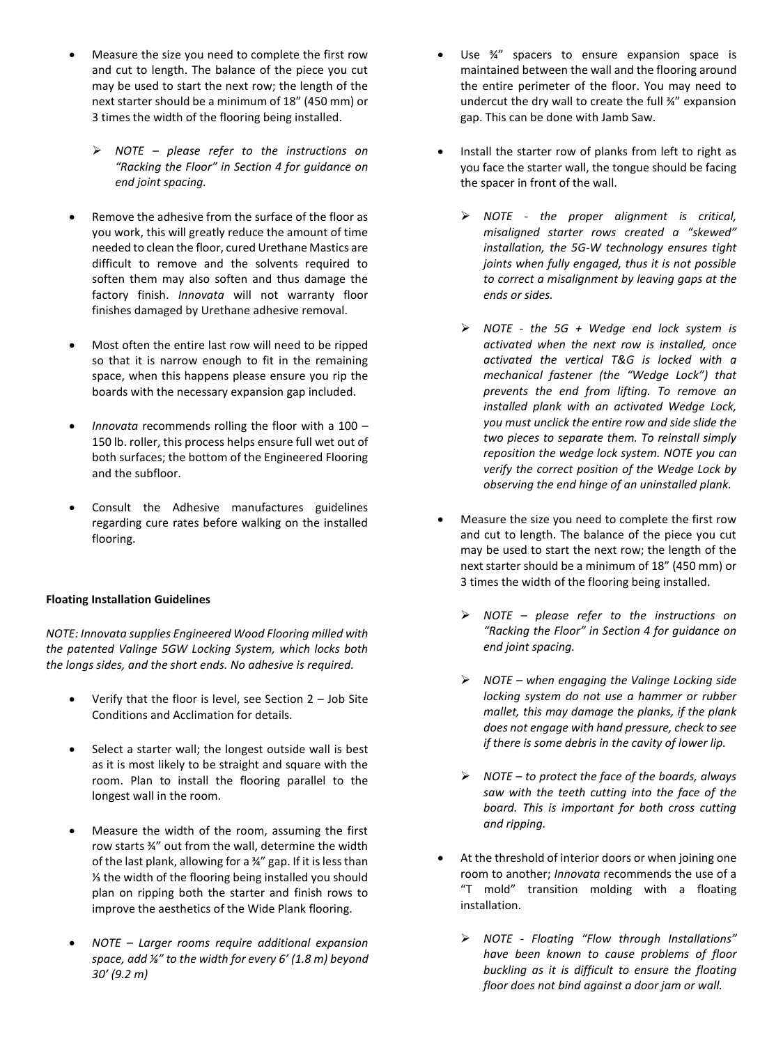- Measure the size you need to complete the first row and cut to length. The balance of the piece you cut may be used to start the next row; the length of the next starter should be a minimum of 18" (450 mm) or 3 times the width of the flooring being installed.
	- *NOTE – please refer to the instructions on "Racking the Floor" in Section 4 for guidance on end joint spacing.*
- Remove the adhesive from the surface of the floor as you work, this will greatly reduce the amount of time needed to clean the floor, cured Urethane Mastics are difficult to remove and the solvents required to soften them may also soften and thus damage the factory finish. *Innovata* will not warranty floor finishes damaged by Urethane adhesive removal.
- Most often the entire last row will need to be ripped so that it is narrow enough to fit in the remaining space, when this happens please ensure you rip the boards with the necessary expansion gap included.
- *Innovata* recommends rolling the floor with a 100 150 lb. roller, this process helps ensure full wet out of both surfaces; the bottom of the Engineered Flooring and the subfloor.
- Consult the Adhesive manufactures guidelines regarding cure rates before walking on the installed flooring.

#### **Floating Installation Guidelines**

*NOTE: Innovata supplies Engineered Wood Flooring milled with the patented Valinge 5GW Locking System, which locks both the longs sides, and the short ends. No adhesive is required.* 

- Verify that the floor is level, see Section 2 Job Site Conditions and Acclimation for details.
- Select a starter wall; the longest outside wall is best as it is most likely to be straight and square with the room. Plan to install the flooring parallel to the longest wall in the room.
- Measure the width of the room, assuming the first row starts ¾" out from the wall, determine the width of the last plank, allowing for a ¾" gap. If it is less than ⅓ the width of the flooring being installed you should plan on ripping both the starter and finish rows to improve the aesthetics of the Wide Plank flooring.
- *NOTE – Larger rooms require additional expansion space, add ⅛" to the width for every 6' (1.8 m) beyond 30' (9.2 m)*
- Use ¾" spacers to ensure expansion space is maintained between the wall and the flooring around the entire perimeter of the floor. You may need to undercut the dry wall to create the full ¾" expansion gap. This can be done with Jamb Saw.
- Install the starter row of planks from left to right as you face the starter wall, the tongue should be facing the spacer in front of the wall.
	- *NOTE - the proper alignment is critical, misaligned starter rows created a "skewed" installation, the 5G-W technology ensures tight joints when fully engaged, thus it is not possible to correct a misalignment by leaving gaps at the ends or sides.*
	- *NOTE - the 5G + Wedge end lock system is activated when the next row is installed, once activated the vertical T&G is locked with a mechanical fastener (the "Wedge Lock") that prevents the end from lifting. To remove an installed plank with an activated Wedge Lock, you must unclick the entire row and side slide the two pieces to separate them. To reinstall simply reposition the wedge lock system. NOTE you can verify the correct position of the Wedge Lock by observing the end hinge of an uninstalled plank.*
- Measure the size you need to complete the first row and cut to length. The balance of the piece you cut may be used to start the next row; the length of the next starter should be a minimum of 18" (450 mm) or 3 times the width of the flooring being installed.
	- *NOTE – please refer to the instructions on "Racking the Floor" in Section 4 for guidance on end joint spacing.*
	- *NOTE – when engaging the Valinge Locking side locking system do not use a hammer or rubber mallet, this may damage the planks, if the plank does not engage with hand pressure, check to see if there is some debris in the cavity of lower lip.*
	- *NOTE – to protect the face of the boards, always saw with the teeth cutting into the face of the board. This is important for both cross cutting and ripping.*
- At the threshold of interior doors or when joining one room to another; *Innovata* recommends the use of a "T mold" transition molding with a floating installation.
	- *NOTE - Floating "Flow through Installations" have been known to cause problems of floor buckling as it is difficult to ensure the floating floor does not bind against a door jam or wall.*